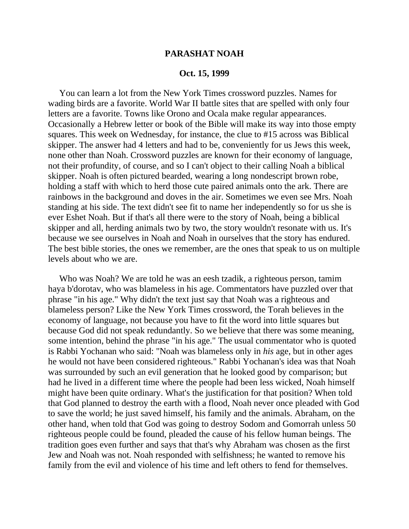## **PARASHAT NOAH**

## **Oct. 15, 1999**

 You can learn a lot from the New York Times crossword puzzles. Names for wading birds are a favorite. World War II battle sites that are spelled with only four letters are a favorite. Towns like Orono and Ocala make regular appearances. Occasionally a Hebrew letter or book of the Bible will make its way into those empty squares. This week on Wednesday, for instance, the clue to #15 across was Biblical skipper. The answer had 4 letters and had to be, conveniently for us Jews this week, none other than Noah. Crossword puzzles are known for their economy of language, not their profundity, of course, and so I can't object to their calling Noah a biblical skipper. Noah is often pictured bearded, wearing a long nondescript brown robe, holding a staff with which to herd those cute paired animals onto the ark. There are rainbows in the background and doves in the air. Sometimes we even see Mrs. Noah standing at his side. The text didn't see fit to name her independently so for us she is ever Eshet Noah. But if that's all there were to the story of Noah, being a biblical skipper and all, herding animals two by two, the story wouldn't resonate with us. It's because we see ourselves in Noah and Noah in ourselves that the story has endured. The best bible stories, the ones we remember, are the ones that speak to us on multiple levels about who we are.

 Who was Noah? We are told he was an eesh tzadik, a righteous person, tamim haya b'dorotav, who was blameless in his age. Commentators have puzzled over that phrase "in his age." Why didn't the text just say that Noah was a righteous and blameless person? Like the New York Times crossword, the Torah believes in the economy of language, not because you have to fit the word into little squares but because God did not speak redundantly. So we believe that there was some meaning, some intention, behind the phrase "in his age." The usual commentator who is quoted is Rabbi Yochanan who said: "Noah was blameless only in *his* age, but in other ages he would not have been considered righteous." Rabbi Yochanan's idea was that Noah was surrounded by such an evil generation that he looked good by comparison; but had he lived in a different time where the people had been less wicked, Noah himself might have been quite ordinary. What's the justification for that position? When told that God planned to destroy the earth with a flood, Noah never once pleaded with God to save the world; he just saved himself, his family and the animals. Abraham, on the other hand, when told that God was going to destroy Sodom and Gomorrah unless 50 righteous people could be found, pleaded the cause of his fellow human beings. The tradition goes even further and says that that's why Abraham was chosen as the first Jew and Noah was not. Noah responded with selfishness; he wanted to remove his family from the evil and violence of his time and left others to fend for themselves.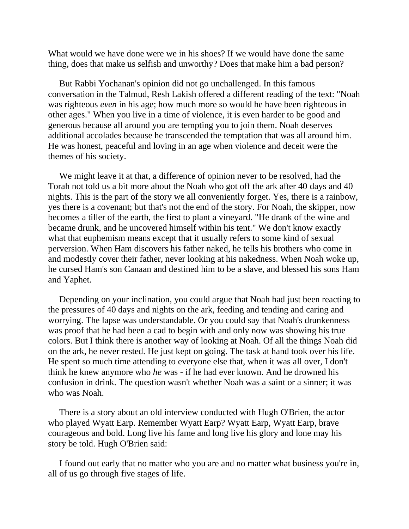What would we have done were we in his shoes? If we would have done the same thing, does that make us selfish and unworthy? Does that make him a bad person?

 But Rabbi Yochanan's opinion did not go unchallenged. In this famous conversation in the Talmud, Resh Lakish offered a different reading of the text: "Noah was righteous *even* in his age; how much more so would he have been righteous in other ages." When you live in a time of violence, it is even harder to be good and generous because all around you are tempting you to join them. Noah deserves additional accolades because he transcended the temptation that was all around him. He was honest, peaceful and loving in an age when violence and deceit were the themes of his society.

 We might leave it at that, a difference of opinion never to be resolved, had the Torah not told us a bit more about the Noah who got off the ark after 40 days and 40 nights. This is the part of the story we all conveniently forget. Yes, there is a rainbow, yes there is a covenant; but that's not the end of the story. For Noah, the skipper, now becomes a tiller of the earth, the first to plant a vineyard. "He drank of the wine and became drunk, and he uncovered himself within his tent." We don't know exactly what that euphemism means except that it usually refers to some kind of sexual perversion. When Ham discovers his father naked, he tells his brothers who come in and modestly cover their father, never looking at his nakedness. When Noah woke up, he cursed Ham's son Canaan and destined him to be a slave, and blessed his sons Ham and Yaphet.

 Depending on your inclination, you could argue that Noah had just been reacting to the pressures of 40 days and nights on the ark, feeding and tending and caring and worrying. The lapse was understandable. Or you could say that Noah's drunkenness was proof that he had been a cad to begin with and only now was showing his true colors. But I think there is another way of looking at Noah. Of all the things Noah did on the ark, he never rested. He just kept on going. The task at hand took over his life. He spent so much time attending to everyone else that, when it was all over, I don't think he knew anymore who *he* was - if he had ever known. And he drowned his confusion in drink. The question wasn't whether Noah was a saint or a sinner; it was who was Noah.

 There is a story about an old interview conducted with Hugh O'Brien, the actor who played Wyatt Earp. Remember Wyatt Earp? Wyatt Earp, Wyatt Earp, brave courageous and bold. Long live his fame and long live his glory and lone may his story be told. Hugh O'Brien said:

 I found out early that no matter who you are and no matter what business you're in, all of us go through five stages of life.